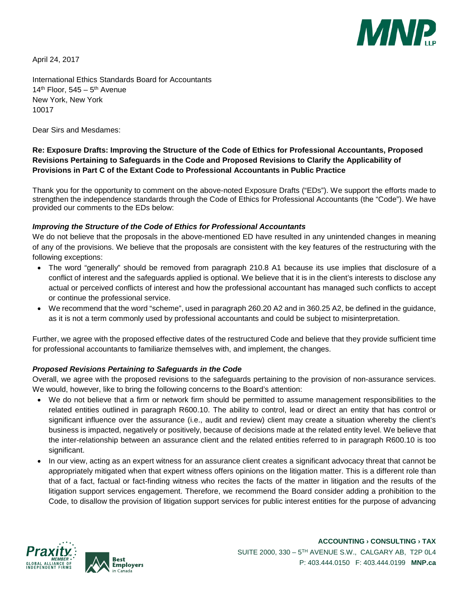

April 24, 2017

International Ethics Standards Board for Accountants  $14<sup>th</sup>$  Floor, 545 – 5<sup>th</sup> Avenue New York, New York 10017

Dear Sirs and Mesdames:

## **Re: Exposure Drafts: Improving the Structure of the Code of Ethics for Professional Accountants, Proposed Revisions Pertaining to Safeguards in the Code and Proposed Revisions to Clarify the Applicability of Provisions in Part C of the Extant Code to Professional Accountants in Public Practice**

Thank you for the opportunity to comment on the above-noted Exposure Drafts ("EDs"). We support the efforts made to strengthen the independence standards through the Code of Ethics for Professional Accountants (the "Code"). We have provided our comments to the EDs below:

## *Improving the Structure of the Code of Ethics for Professional Accountants*

We do not believe that the proposals in the above-mentioned ED have resulted in any unintended changes in meaning of any of the provisions. We believe that the proposals are consistent with the key features of the restructuring with the following exceptions:

- The word "generally" should be removed from paragraph 210.8 A1 because its use implies that disclosure of a conflict of interest and the safeguards applied is optional. We believe that it is in the client's interests to disclose any actual or perceived conflicts of interest and how the professional accountant has managed such conflicts to accept or continue the professional service.
- We recommend that the word "scheme", used in paragraph 260.20 A2 and in 360.25 A2, be defined in the guidance, as it is not a term commonly used by professional accountants and could be subject to misinterpretation.

Further, we agree with the proposed effective dates of the restructured Code and believe that they provide sufficient time for professional accountants to familiarize themselves with, and implement, the changes.

## *Proposed Revisions Pertaining to Safeguards in the Code*

Overall, we agree with the proposed revisions to the safeguards pertaining to the provision of non-assurance services. We would, however, like to bring the following concerns to the Board's attention:

- We do not believe that a firm or network firm should be permitted to assume management responsibilities to the related entities outlined in paragraph R600.10. The ability to control, lead or direct an entity that has control or significant influence over the assurance (i.e., audit and review) client may create a situation whereby the client's business is impacted, negatively or positively, because of decisions made at the related entity level. We believe that the inter-relationship between an assurance client and the related entities referred to in paragraph R600.10 is too significant.
- In our view, acting as an expert witness for an assurance client creates a significant advocacy threat that cannot be appropriately mitigated when that expert witness offers opinions on the litigation matter. This is a different role than that of a fact, factual or fact-finding witness who recites the facts of the matter in litigation and the results of the litigation support services engagement. Therefore, we recommend the Board consider adding a prohibition to the Code, to disallow the provision of litigation support services for public interest entities for the purpose of advancing